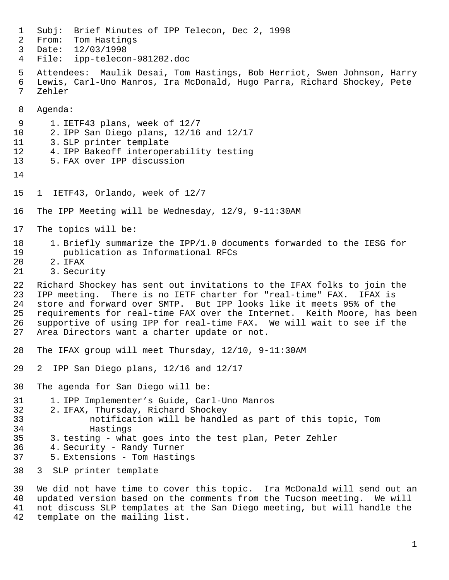Subj: Brief Minutes of IPP Telecon, Dec 2, 1998 From: Tom Hastings Date: 12/03/1998 File: ipp-telecon-981202.doc Attendees: Maulik Desai, Tom Hastings, Bob Herriot, Swen Johnson, Harry Lewis, Carl-Uno Manros, Ira McDonald, Hugo Parra, Richard Shockey, Pete Zehler Agenda: 1. IETF43 plans, week of 12/7 2. IPP San Diego plans, 12/16 and 12/17 3. SLP printer template 4. IPP Bakeoff interoperability testing 5. FAX over IPP discussion 1 IETF43, Orlando, week of 12/7 The IPP Meeting will be Wednesday, 12/9, 9-11:30AM The topics will be: 1. Briefly summarize the IPP/1.0 documents forwarded to the IESG for publication as Informational RFCs 2. IFAX 3. Security 22 Richard Shockey has sent out invitations to the IFAX folks to join the<br>23 IPP meeting. There is no IETF charter for "real-time" FAX. IFAX is IPP meeting. There is no IETF charter for "real-time" FAX. IFAX is store and forward over SMTP. But IPP looks like it meets 95% of the requirements for real-time FAX over the Internet. Keith Moore, has been supportive of using IPP for real-time FAX. We will wait to see if the Area Directors want a charter update or not. The IFAX group will meet Thursday, 12/10, 9-11:30AM 2 IPP San Diego plans, 12/16 and 12/17 The agenda for San Diego will be: 1. IPP Implementer's Guide, Carl-Uno Manros 2. IFAX, Thursday, Richard Shockey notification will be handled as part of this topic, Tom Hastings 3. testing - what goes into the test plan, Peter Zehler 4. Security - Randy Turner 5. Extensions - Tom Hastings 3 SLP printer template We did not have time to cover this topic. Ira McDonald will send out an updated version based on the comments from the Tucson meeting. We will not discuss SLP templates at the San Diego meeting, but will handle the

template on the mailing list.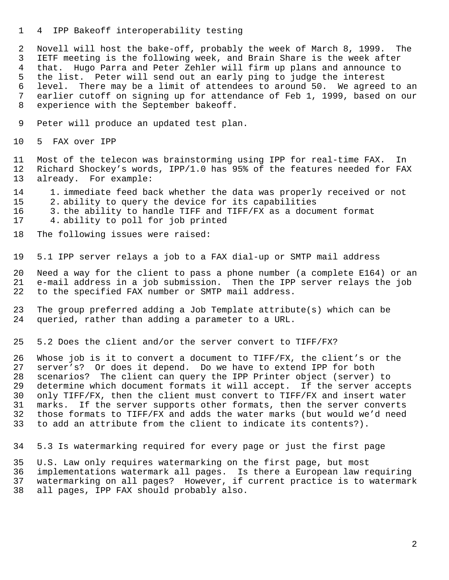4 IPP Bakeoff interoperability testing

 Novell will host the bake-off, probably the week of March 8, 1999. The IETF meeting is the following week, and Brain Share is the week after that. Hugo Parra and Peter Zehler will firm up plans and announce to the list. Peter will send out an early ping to judge the interest level. There may be a limit of attendees to around 50. We agreed to an earlier cutoff on signing up for attendance of Feb 1, 1999, based on our experience with the September bakeoff.

- Peter will produce an updated test plan.
- 5 FAX over IPP

 Most of the telecon was brainstorming using IPP for real-time FAX. In Richard Shockey's words, IPP/1.0 has 95% of the features needed for FAX already. For example:

- 1. immediate feed back whether the data was properly received or not
- 2. ability to query the device for its capabilities
- 3. the ability to handle TIFF and TIFF/FX as a document format
- 4. ability to poll for job printed
- The following issues were raised:
- 5.1 IPP server relays a job to a FAX dial-up or SMTP mail address

 Need a way for the client to pass a phone number (a complete E164) or an e-mail address in a job submission. Then the IPP server relays the job to the specified FAX number or SMTP mail address.

 The group preferred adding a Job Template attribute(s) which can be queried, rather than adding a parameter to a URL.

5.2 Does the client and/or the server convert to TIFF/FX?

 Whose job is it to convert a document to TIFF/FX, the client's or the server's? Or does it depend. Do we have to extend IPP for both scenarios? The client can query the IPP Printer object (server) to determine which document formats it will accept. If the server accepts only TIFF/FX, then the client must convert to TIFF/FX and insert water marks. If the server supports other formats, then the server converts those formats to TIFF/FX and adds the water marks (but would we'd need to add an attribute from the client to indicate its contents?).

5.3 Is watermarking required for every page or just the first page

 U.S. Law only requires watermarking on the first page, but most implementations watermark all pages. Is there a European law requiring watermarking on all pages? However, if current practice is to watermark all pages, IPP FAX should probably also.